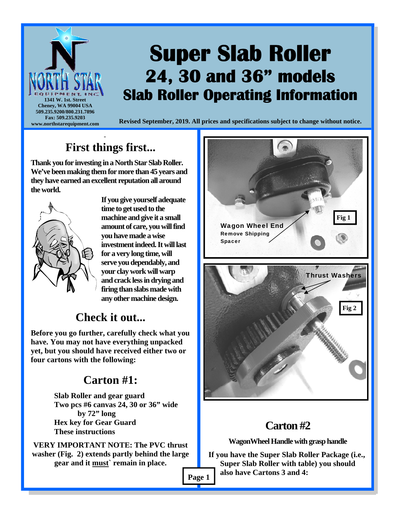

#### **First things first...**  -

**Thank you for investing in a North Star Slab Roller. We've been making them for more than 45 years and they have earned an excellent reputation all around the world.** 



**If you give yourself adequate time to get used to the machine and give it a small amount of care, you will find you have made a wise investment indeed. It will last for a very long time, will serve you dependably, and your clay work will warp and crack less in drying and firing than slabs made with any other machine design.** 

## **Check it out...**

**Before you go further, carefully check what you have. You may not have everything unpacked yet, but you should have received either two or four cartons with the following:** 

# **Carton #1:**

 **Slab Roller and gear guard Two pcs #6 canvas 24, 30 or 36" wide by 72" long Hex key for Gear Guard These instructions** 

**VERY IMPORTANT NOTE: The PVC thrust washer (Fig. 2) extends partly behind the large gear and it must` remain in place.** 



# **Carton #2**

**WagonWheel Handle with grasp handle** 

**If you have the Super Slab Roller Package (i.e., Super Slab Roller with table) you should Page 1 also have Cartons 3 and 4:**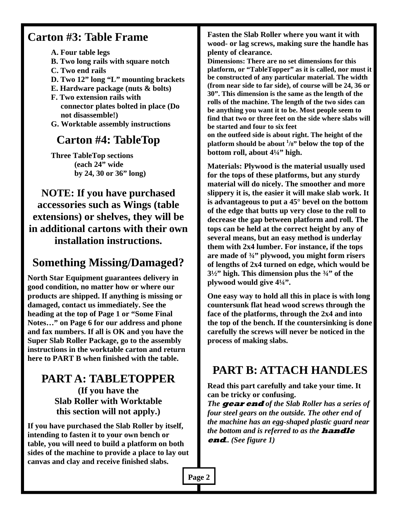#### **Carton #3: Table Frame**

 **A. Four table legs** 

- **B. Two long rails with square notch**
- **C. Two end rails**
- **D. Two 12" long "L" mounting brackets**
- **E. Hardware package (nuts & bolts)**
- **F. Two extension rails with connector plates bolted in place (Do not disassemble!)**
- **G. Worktable assembly instructions**

### **Carton #4: TableTop**

 **Three TableTop sections (each 24" wide by 24, 30 or 36" long)** 

**NOTE: If you have purchased accessories such as Wings (table extensions) or shelves, they will be in additional cartons with their own installation instructions.** 

# **Something Missing/Damaged?**

**North Star Equipment guarantees delivery in good condition, no matter how or where our products are shipped. If anything is missing or damaged, contact us immediately. See the heading at the top of Page 1 or "Some Final Notes…" on Page 6 for our address and phone and fax numbers. If all is OK and you have the Super Slab Roller Package, go to the assembly instructions in the worktable carton and return here to PART B when finished with the table.** 

#### **PART A: TABLETOPPER (If you have the Slab Roller with Worktable this section will not apply.)**

**If you have purchased the Slab Roller by itself, intending to fasten it to your own bench or table, you will need to build a platform on both sides of the machine to provide a place to lay out canvas and clay and receive finished slabs.**

**Fasten the Slab Roller where you want it with wood- or lag screws, making sure the handle has plenty of clearance.** 

**Dimensions: There are no set dimensions for this platform, or "TableTopper" as it is called, nor must it be constructed of any particular material. The width (from near side to far side), of course will be 24, 36 or 30". This dimension is the same as the length of the rolls of the machine. The length of the two sides can be anything you want it to be. Most people seem to find that two or three feet on the side where slabs will be started and four to six feet on the outfeed side is about right. The height of the platform should be about <sup>1</sup> /8" below the top of the** 

**bottom roll, about 4¼" high.** 

**Materials: Plywood is the material usually used for the tops of these platforms, but any sturdy material will do nicely. The smoother and more slippery it is, the easier it will make slab work. It is advantageous to put a 45° bevel on the bottom of the edge that butts up very close to the roll to decrease the gap between platform and roll. The tops can be held at the correct height by any of several means, but an easy method is underlay them with 2x4 lumber. For instance, if the tops are made of ¾" plywood, you might form risers of lengths of 2x4 turned on edge, which would be 3½" high. This dimension plus the ¾" of the plywood would give 4¼".** 

**One easy way to hold all this in place is with long countersunk flat head wood screws through the face of the platforms, through the 2x4 and into the top of the bench. If the countersinking is done carefully the screws will never be noticed in the process of making slabs.** 

## **PART B: ATTACH HANDLES**

**Read this part carefully and take your time. It can be tricky or confusing.** 

*The* **gear end** *of the Slab Roller has a series of four steel gears on the outside. The other end of the machine has an egg-shaped plastic guard near the bottom and is referred to as the* **handle end***.. (See figure 1)* 

**Page 2**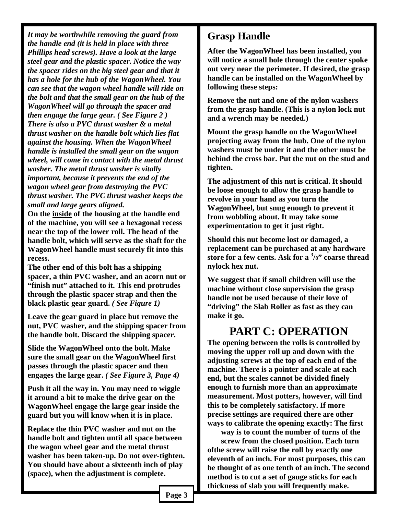*It may be worthwhile removing the guard from the handle end (it is held in place with three Phillips head screws). Have a look at the large steel gear and the plastic spacer. Notice the way the spacer rides on the big steel gear and that it has a hole for the hub of the WagonWheel. You can see that the wagon wheel handle will ride on the bolt and that the small gear on the hub of the WagonWheel will go through the spacer and then engage the large gear. ( See Figure 2 ) There is also a PVC thrust washer & a metal thrust washer on the handle bolt which lies flat against the housing. When the WagonWheel handle is installed the small gear on the wagon wheel, will come in contact with the metal thrust washer. The metal thrust washer is vitally important, because it prevents the end of the wagon wheel gear from destroying the PVC thrust washer. The PVC thrust washer keeps the small and large gears aligned.* 

**On the inside of the housing at the handle end of the machine, you will see a hexagonal recess near the top of the lower roll. The head of the handle bolt, which will serve as the shaft for the WagonWheel handle must securely fit into this recess.** 

**The other end of this bolt has a shipping spacer, a thin PVC washer, and an acorn nut or "finish nut" attached to it. This end protrudes through the plastic spacer strap and then the black plastic gear guard.** *( See Figure 1)*

**Leave the gear guard in place but remove the nut, PVC washer, and the shipping spacer from the handle bolt. Discard the shipping spacer.** 

**Slide the WagonWheel onto the bolt. Make sure the small gear on the WagonWheel first passes through the plastic spacer and then engages the large gear.** *( See Figure 3, Page 4)* 

**Push it all the way in. You may need to wiggle it around a bit to make the drive gear on the WagonWheel engage the large gear inside the guard but you will know when it is in place.** 

**Replace the thin PVC washer and nut on the handle bolt and tighten until all space between the wagon wheel gear and the metal thrust washer has been taken-up. Do not over-tighten. You should have about a sixteenth inch of play (space), when the adjustment is complete.** 

#### **Grasp Handle**

**After the WagonWheel has been installed, you will notice a small hole through the center spoke out very near the perimeter. If desired, the grasp handle can be installed on the WagonWheel by following these steps:** 

**Remove the nut and one of the nylon washers from the grasp handle. (This is a nylon lock nut and a wrench may be needed.)** 

**Mount the grasp handle on the WagonWheel projecting away from the hub. One of the nylon washers must be under it and the other must be behind the cross bar. Put the nut on the stud and tighten.** 

**The adjustment of this nut is critical. It should be loose enough to allow the grasp handle to revolve in your hand as you turn the WagonWheel, but snug enough to prevent it from wobbling about. It may take some experimentation to get it just right.** 

**Should this nut become lost or damaged, a replacement can be purchased at any hardware store for a few cents. Ask for a 3 /8" coarse thread nylock hex nut.** 

**We suggest that if small children will use the machine without close supervision the grasp handle not be used because of their love of "driving" the Slab Roller as fast as they can make it go.** 

#### **PART C: OPERATION**

**The opening between the rolls is controlled by moving the upper roll up and down with the adjusting screws at the top of each end of the machine. There is a pointer and scale at each end, but the scales cannot be divided finely enough to furnish more than an approximate measurement. Most potters, however, will find this to be completely satisfactory. If more precise settings are required there are other ways to calibrate the opening exactly: The first** 

 **way is to count the number of turns of the screw from the closed position. Each turn ofthe screw will raise the roll by exactly one eleventh of an inch. For most purposes, this can be thought of as one tenth of an inch. The second method is to cut a set of gauge sticks for each thickness of slab you will frequently make.**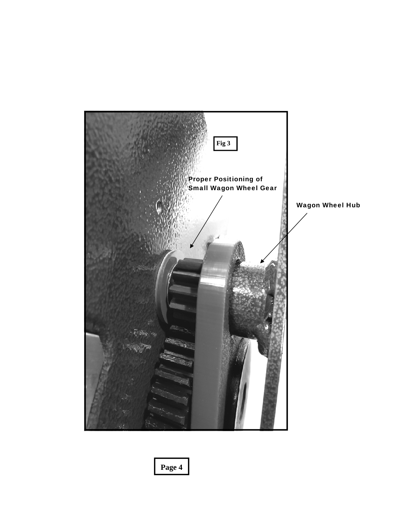

**Page 4**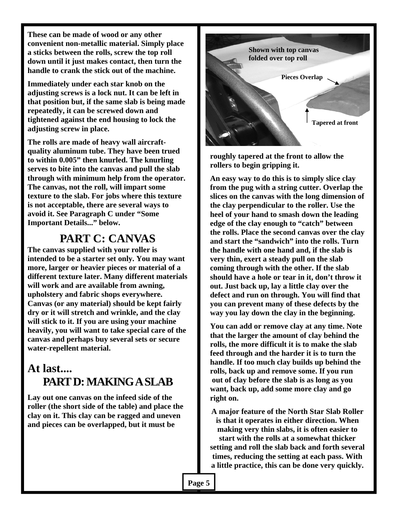**These can be made of wood or any other convenient non-metallic material. Simply place a sticks between the rolls, screw the top roll down until it just makes contact, then turn the handle to crank the stick out of the machine.** 

**Immediately under each star knob on the adjusting screws is a lock nut. It can be left in that position but, if the same slab is being made repeatedly, it can be screwed down and tightened against the end housing to lock the adjusting screw in place.** 

**The rolls are made of heavy wall aircraftquality aluminum tube. They have been trued to within 0.005" then knurled. The knurling serves to bite into the canvas and pull the slab through with minimum help from the operator. The canvas, not the roll, will impart some texture to the slab. For jobs where this texture is not acceptable, there are several ways to avoid it. See Paragraph C under "Some Important Details..." below.** 

#### **PART C: CANVAS**

**The canvas supplied with your roller is intended to be a starter set only. You may want more, larger or heavier pieces or material of a different texture later. Many different materials will work and are available from awning, upholstery and fabric shops everywhere. Canvas (or any material) should be kept fairly dry or it will stretch and wrinkle, and the clay will stick to it. If you are using your machine heavily, you will want to take special care of the canvas and perhaps buy several sets or secure water-repellent material.** 

### **At last.... PART D: MAKING A SLAB**

**Lay out one canvas on the infeed side of the roller (the short side of the table) and place the clay on it. This clay can be ragged and uneven and pieces can be overlapped, but it must be** 



**roughly tapered at the front to allow the rollers to begin gripping it.** 

**An easy way to do this is to simply slice clay from the pug with a string cutter. Overlap the slices on the canvas with the long dimension of the clay perpendicular to the roller. Use the heel of your hand to smash down the leading edge of the clay enough to "catch" between the rolls. Place the second canvas over the clay and start the "sandwich" into the rolls. Turn the handle with one hand and, if the slab is very thin, exert a steady pull on the slab coming through with the other. If the slab should have a hole or tear in it, don't throw it out. Just back up, lay a little clay over the defect and run on through. You will find that you can prevent many of these defects by the way you lay down the clay in the beginning.** 

**You can add or remove clay at any time. Note that the larger the amount of clay behind the rolls, the more difficult it is to make the slab feed through and the harder it is to turn the handle. If too much clay builds up behind the rolls, back up and remove some. If you run out of clay before the slab is as long as you want, back up, add some more clay and go right on.** 

**A major feature of the North Star Slab Roller is that it operates in either direction. When making very thin slabs, it is often easier to start with the rolls at a somewhat thicker setting and roll the slab back and forth several times, reducing the setting at each pass. With a little practice, this can be done very quickly.**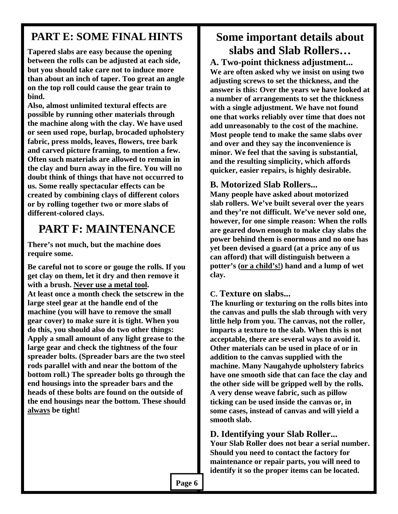#### **PART E: SOME FINAL HINTS**

**Tapered slabs are easy because the opening between the rolls can be adjusted at each side, but you should take care not to induce more than about an inch of taper. Too great an angle on the top roll could cause the gear train to bind.** 

**Also, almost unlimited textural effects are possible by running other materials through the machine along with the clay. We have used or seen used rope, burlap, brocaded upholstery fabric, press molds, leaves, flowers, tree bark and carved picture framing, to mention a few. Often such materials are allowed to remain in the clay and burn away in the fire. You will no doubt think of things that have not occurred to us. Some really spectacular effects can be created by combining clays of different colors or by rolling together two or more slabs of different-colored clays.** 

#### **PART F: MAINTENANCE**

**There's not much, but the machine does require some.** 

**Be careful not to score or gouge the rolls. If you get clay on them, let it dry and then remove it with a brush. Never use a metal tool. At least once a month check the setscrew in the large steel gear at the handle end of the machine (you will have to remove the small gear cover) to make sure it is tight. When you do this, you should also do two other things: Apply a small amount of any light grease to the large gear and check the tightness of the four spreader bolts. (Spreader bars are the two steel rods parallel with and near the bottom of the bottom roll.) The spreader bolts go through the end housings into the spreader bars and the heads of these bolts are found on the outside of the end housings near the bottom. These should always be tight!** 

### **Some important details about slabs and Slab Rollers…**

**A. Two-point thickness adjustment... We are often asked why we insist on using two adjusting screws to set the thickness, and the answer is this: Over the years we have looked at a number of arrangements to set the thickness with a single adjustment. We have not found one that works reliably over time that does not add unreasonably to the cost of the machine. Most people tend to make the same slabs over and over and they say the inconvenience is minor. We feel that the saving is substantial, and the resulting simplicity, which affords quicker, easier repairs, is highly desirable.** 

#### **B. Motorized Slab Rollers...**

**Many people have asked about motorized slab rollers. We've built several over the years and they're not difficult. We've never sold one, however, for one simple reason: When the rolls are geared down enough to make clay slabs the power behind them is enormous and no one has yet been devised a guard (at a price any of us can afford) that will distinguish between a potter's (or a child's!) hand and a lump of wet clay.** 

#### **C. Texture on slabs...**

**The knurling or texturing on the rolls bites into the canvas and pulls the slab through with very little help from you. The canvas, not the roller, imparts a texture to the slab. When this is not acceptable, there are several ways to avoid it. Other materials can be used in place of or in addition to the canvas supplied with the machine. Many Naugahyde upholstery fabrics have one smooth side that can face the clay and the other side will be gripped well by the rolls. A very dense weave fabric, such as pillow ticking can be used inside the canvas or, in some cases, instead of canvas and will yield a smooth slab.** 

#### **D. Identifying your Slab Roller...**

**Your Slab Roller does not bear a serial number. Should you need to contact the factory for maintenance or repair parts, you will need to identify it so the proper items can be located.**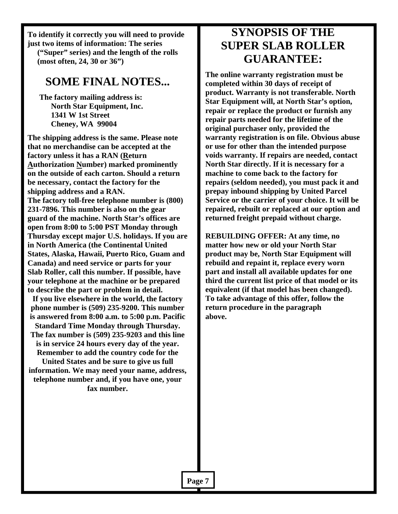**To identify it correctly you will need to provide just two items of information: The series ("Super" series) and the length of the rolls (most often, 24, 30 or 36")** 

#### **SOME FINAL NOTES...**

**The factory mailing address is: North Star Equipment, Inc. 1341 W 1st Street Cheney, WA 99004** 

**The shipping address is the same. Please note that no merchandise can be accepted at the factory unless it has a RAN (Return Authorization Number) marked prominently on the outside of each carton. Should a return be necessary, contact the factory for the shipping address and a RAN. The factory toll-free telephone number is (800) 231-7896. This number is also on the gear guard of the machine. North Star's offices are open from 8:00 to 5:00 PST Monday through Thursday except major U.S. holidays. If you are in North America (the Continental United States, Alaska, Hawaii, Puerto Rico, Guam and Canada) and need service or parts for your Slab Roller, call this number. If possible, have your telephone at the machine or be prepared to describe the part or problem in detail.** 

**If you live elsewhere in the world, the factory phone number is (509) 235-9200. This number is answered from 8:00 a.m. to 5:00 p.m. Pacific Standard Time Monday through Thursday. The fax number is (509) 235-9203 and this line is in service 24 hours every day of the year.** 

**Remember to add the country code for the United States and be sure to give us full information. We may need your name, address, telephone number and, if you have one, your fax number.**

#### **SYNOPSIS OF THE SUPER SLAB ROLLER GUARANTEE:**

**The online warranty registration must be completed within 30 days of receipt of product. Warranty is not transferable. North Star Equipment will, at North Star's option, repair or replace the product or furnish any repair parts needed for the lifetime of the original purchaser only, provided the warranty registration is on file. Obvious abuse or use for other than the intended purpose voids warranty. If repairs are needed, contact North Star directly. If it is necessary for a machine to come back to the factory for repairs (seldom needed), you must pack it and prepay inbound shipping by United Parcel Service or the carrier of your choice. It will be repaired, rebuilt or replaced at our option and returned freight prepaid without charge.** 

**REBUILDING OFFER: At any time, no matter how new or old your North Star product may be, North Star Equipment will rebuild and repaint it, replace every worn part and install all available updates for one third the current list price of that model or its equivalent (if that model has been changed). To take advantage of this offer, follow the return procedure in the paragraph above.**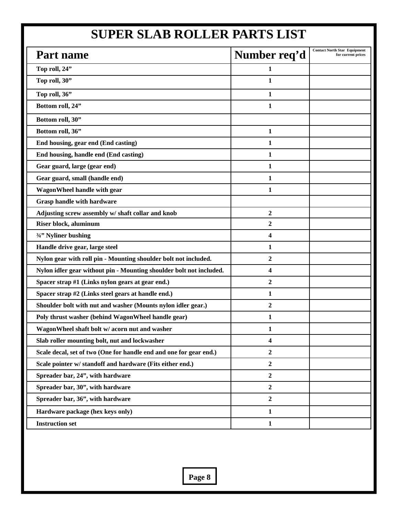# **SUPER SLAB ROLLER PARTS LIST**

| Part name                                                           | Number req'd     | <b>Contact North Star Equipment</b><br>for current prices |
|---------------------------------------------------------------------|------------------|-----------------------------------------------------------|
| Top roll, 24"                                                       | $\mathbf{1}$     |                                                           |
| Top roll, 30"                                                       | $\mathbf{1}$     |                                                           |
| Top roll, 36"                                                       | 1                |                                                           |
| Bottom roll, 24"                                                    | 1                |                                                           |
| Bottom roll, 30"                                                    |                  |                                                           |
| Bottom roll, 36"                                                    | $\mathbf{1}$     |                                                           |
| End housing, gear end (End casting)                                 | 1                |                                                           |
| End housing, handle end (End casting)                               | 1                |                                                           |
| Gear guard, large (gear end)                                        | 1                |                                                           |
| Gear guard, small (handle end)                                      | 1                |                                                           |
| WagonWheel handle with gear                                         | 1                |                                                           |
| <b>Grasp handle with hardware</b>                                   |                  |                                                           |
| Adjusting screw assembly w/ shaft collar and knob                   | $\boldsymbol{2}$ |                                                           |
| Riser block, aluminum                                               | $\boldsymbol{2}$ |                                                           |
| 3/4" Nyliner bushing                                                | 4                |                                                           |
| Handle drive gear, large steel                                      | 1                |                                                           |
| Nylon gear with roll pin - Mounting shoulder bolt not included.     | $\mathbf{2}$     |                                                           |
| Nylon idler gear without pin - Mounting shoulder bolt not included. | 4                |                                                           |
| Spacer strap #1 (Links nylon gears at gear end.)                    | $\overline{2}$   |                                                           |
| Spacer strap #2 (Links steel gears at handle end.)                  | 1                |                                                           |
| Shoulder bolt with nut and washer (Mounts nylon idler gear.)        | $\overline{2}$   |                                                           |
| Poly thrust washer (behind WagonWheel handle gear)                  | 1                |                                                           |
| WagonWheel shaft bolt w/ acorn nut and washer                       | 1                |                                                           |
| Slab roller mounting bolt, nut and lockwasher                       | 4                |                                                           |
| Scale decal, set of two (One for handle end and one for gear end.)  | $\boldsymbol{2}$ |                                                           |
| Scale pointer w/ standoff and hardware (Fits either end.)           | $\boldsymbol{2}$ |                                                           |
| Spreader bar, 24", with hardware                                    | $\boldsymbol{2}$ |                                                           |
| Spreader bar, 30", with hardware                                    | $\boldsymbol{2}$ |                                                           |
| Spreader bar, 36", with hardware                                    | $\boldsymbol{2}$ |                                                           |
| Hardware package (hex keys only)                                    | $\mathbf{1}$     |                                                           |
| <b>Instruction set</b>                                              | $\mathbf{1}$     |                                                           |